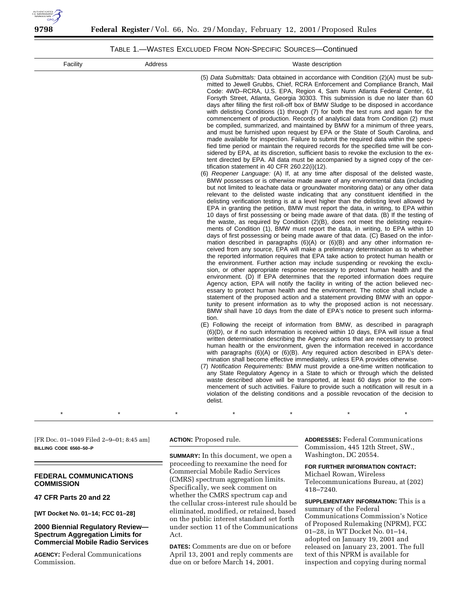

# TABLE 1.—WASTES EXCLUDED FROM NON-SPECIFIC SOURCES—Continued

| Facility | Address | Waste description                                                                                                                                                                                                                                                                                                                                                                                                                                                                                                                                                                                                                                                                                                                                                                                                                                                                                                                                                                                                                                                                                                                                                                                                                                                                                                                                                                                                                                                                                                                                                                                                                                                                                                                                                                                                                                                                                                                                                                                                                                                                                                                                                                                                                                                                                                                                                                                                                                                                                                                                                                                                                                                                                                                                                                                                                                                                                                                                                                                                                                                                                                                                                                                                                                                                                                                                                                                                                                                                                                                                                                                                                |
|----------|---------|----------------------------------------------------------------------------------------------------------------------------------------------------------------------------------------------------------------------------------------------------------------------------------------------------------------------------------------------------------------------------------------------------------------------------------------------------------------------------------------------------------------------------------------------------------------------------------------------------------------------------------------------------------------------------------------------------------------------------------------------------------------------------------------------------------------------------------------------------------------------------------------------------------------------------------------------------------------------------------------------------------------------------------------------------------------------------------------------------------------------------------------------------------------------------------------------------------------------------------------------------------------------------------------------------------------------------------------------------------------------------------------------------------------------------------------------------------------------------------------------------------------------------------------------------------------------------------------------------------------------------------------------------------------------------------------------------------------------------------------------------------------------------------------------------------------------------------------------------------------------------------------------------------------------------------------------------------------------------------------------------------------------------------------------------------------------------------------------------------------------------------------------------------------------------------------------------------------------------------------------------------------------------------------------------------------------------------------------------------------------------------------------------------------------------------------------------------------------------------------------------------------------------------------------------------------------------------------------------------------------------------------------------------------------------------------------------------------------------------------------------------------------------------------------------------------------------------------------------------------------------------------------------------------------------------------------------------------------------------------------------------------------------------------------------------------------------------------------------------------------------------------------------------------------------------------------------------------------------------------------------------------------------------------------------------------------------------------------------------------------------------------------------------------------------------------------------------------------------------------------------------------------------------------------------------------------------------------------------------------------------------|
|          |         | (5) Data Submittals: Data obtained in accordance with Condition (2)(A) must be sub-<br>mitted to Jewell Grubbs, Chief, RCRA Enforcement and Compliance Branch, Mail<br>Code: 4WD-RCRA, U.S. EPA, Region 4, Sam Nunn Atlanta Federal Center, 61<br>Forsyth Street, Atlanta, Georgia 30303. This submission is due no later than 60<br>days after filling the first roll-off box of BMW Sludge to be disposed in accordance<br>with delisting Conditions (1) through (7) for both the test runs and again for the<br>commencement of production. Records of analytical data from Condition (2) must<br>be compiled, summarized, and maintained by BMW for a minimum of three years,<br>and must be furnished upon request by EPA or the State of South Carolina, and<br>made available for inspection. Failure to submit the required data within the speci-<br>fied time period or maintain the required records for the specified time will be con-<br>sidered by EPA, at its discretion, sufficient basis to revoke the exclusion to the ex-<br>tent directed by EPA. All data must be accompanied by a signed copy of the cer-<br>tification statement in 40 CFR 260.22(i)(12).<br>(6) Reopener Language: (A) If, at any time after disposal of the delisted waste,<br>BMW possesses or is otherwise made aware of any environmental data (including<br>but not limited to leachate data or groundwater monitoring data) or any other data<br>relevant to the delisted waste indicating that any constituent identified in the<br>delisting verification testing is at a level higher than the delisting level allowed by<br>EPA in granting the petition, BMW must report the data, in writing, to EPA within<br>10 days of first possessing or being made aware of that data. (B) If the testing of<br>the waste, as required by Condition $(2)(B)$ , does not meet the delisting require-<br>ments of Condition (1), BMW must report the data, in writing, to EPA within 10<br>days of first possessing or being made aware of that data. (C) Based on the infor-<br>mation described in paragraphs $(6)(A)$ or $(6)(B)$ and any other information re-<br>ceived from any source, EPA will make a preliminary determination as to whether<br>the reported information requires that EPA take action to protect human health or<br>the environment. Further action may include suspending or revoking the exclu-<br>sion, or other appropriate response necessary to protect human health and the<br>environment. (D) If EPA determines that the reported information does require<br>Agency action, EPA will notify the facility in writing of the action believed nec-<br>essary to protect human health and the environment. The notice shall include a<br>statement of the proposed action and a statement providing BMW with an oppor-<br>tunity to present information as to why the proposed action is not necessary.<br>BMW shall have 10 days from the date of EPA's notice to present such informa-<br>tion.<br>(E) Following the receipt of information from BMW, as described in paragraph<br>(6)(D), or if no such information is received within 10 days, EPA will issue a final<br>written determination describing the Agency actions that are necessary to protect<br>human health or the environment, given the information received in accordance<br>with paragraphs (6)(A) or (6)(B). Any required action described in EPA's deter-<br>mination shall become effective immediately, unless EPA provides otherwise.<br>(7) Notification Requirements: BMW must provide a one-time written notification to |
|          |         | any State Regulatory Agency in a State to which or through which the delisted<br>waste described above will be transported, at least 60 days prior to the com-<br>mencement of such activities. Failure to provide such a notification will result in a<br>violation of the delisting conditions and a possible revocation of the decision to<br>delist.                                                                                                                                                                                                                                                                                                                                                                                                                                                                                                                                                                                                                                                                                                                                                                                                                                                                                                                                                                                                                                                                                                                                                                                                                                                                                                                                                                                                                                                                                                                                                                                                                                                                                                                                                                                                                                                                                                                                                                                                                                                                                                                                                                                                                                                                                                                                                                                                                                                                                                                                                                                                                                                                                                                                                                                                                                                                                                                                                                                                                                                                                                                                                                                                                                                                         |
|          |         |                                                                                                                                                                                                                                                                                                                                                                                                                                                                                                                                                                                                                                                                                                                                                                                                                                                                                                                                                                                                                                                                                                                                                                                                                                                                                                                                                                                                                                                                                                                                                                                                                                                                                                                                                                                                                                                                                                                                                                                                                                                                                                                                                                                                                                                                                                                                                                                                                                                                                                                                                                                                                                                                                                                                                                                                                                                                                                                                                                                                                                                                                                                                                                                                                                                                                                                                                                                                                                                                                                                                                                                                                                  |

[FR Doc. 01–1049 Filed 2–9–01; 8:45 am] **BILLING CODE 6560–50–P**

## **FEDERAL COMMUNICATIONS COMMISSION**

**47 CFR Parts 20 and 22**

**[WT Docket No. 01–14; FCC 01–28]**

# **2000 Biennial Regulatory Review— Spectrum Aggregation Limits for Commercial Mobile Radio Services**

**AGENCY:** Federal Communications Commission.

**ACTION:** Proposed rule.

**SUMMARY:** In this document, we open a proceeding to reexamine the need for Commercial Mobile Radio Services (CMRS) spectrum aggregation limits. Specifically, we seek comment on whether the CMRS spectrum cap and the cellular cross-interest rule should be eliminated, modified, or retained, based on the public interest standard set forth under section 11 of the Communications Act.

**DATES:** Comments are due on or before April 13, 2001 and reply comments are due on or before March 14, 2001.

**ADDRESSES:** Federal Communications Commission, 445 12th Street, SW., Washington, DC 20554.

**FOR FURTHER INFORMATION CONTACT:**

Michael Rowan, Wireless Telecommunications Bureau, at (202) 418–7240.

**SUPPLEMENTARY INFORMATION:** This is a summary of the Federal Communications Commission's Notice of Proposed Rulemaking (NPRM), FCC 01–28, in WT Docket No. 01–14, adopted on January 19, 2001 and released on January 23, 2001. The full text of this NPRM is available for inspection and copying during normal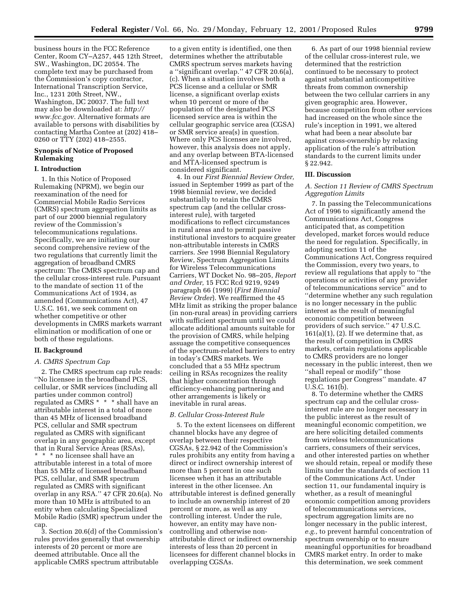business hours in the FCC Reference Center, Room CY–A257, 445 12th Street, SW., Washington, DC 20554. The complete text may be purchased from the Commission's copy contractor, International Transcription Service, Inc., 1231 20th Street, NW., Washington, DC 20037. The full text may also be downloaded at: *http:// www.fcc.gov.* Alternative formats are available to persons with disabilities by contacting Martha Contee at (202) 418– 0260 or TTY (202) 418–2555.

# **Synopsis of Notice of Proposed Rulemaking**

## **I. Introduction**

1. In this Notice of Proposed Rulemaking (NPRM), we begin our reexamination of the need for Commercial Mobile Radio Services (CMRS) spectrum aggregation limits as part of our 2000 biennial regulatory review of the Commission's telecommunications regulations. Specifically, we are initiating our second comprehensive review of the two regulations that currently limit the aggregation of broadband CMRS spectrum: The CMRS spectrum cap and the cellular cross-interest rule. Pursuant to the mandate of section 11 of the Communications Act of 1934, as amended (Communications Act), 47 U.S.C. 161, we seek comment on whether competitive or other developments in CMRS markets warrant elimination or modification of one or both of these regulations.

## **II. Background**

## *A. CMRS Spectrum Cap*

2. The CMRS spectrum cap rule reads: ''No licensee in the broadband PCS, cellular, or SMR services (including all parties under common control) regulated as CMRS \* \* \* shall have an attributable interest in a total of more than 45 MHz of licensed broadband PCS, cellular and SMR spectrum regulated as CMRS with significant overlap in any geographic area, except that in Rural Service Areas (RSAs), \* \* \* no licensee shall have an attributable interest in a total of more than 55 MHz of licensed broadband PCS, cellular, and SMR spectrum regulated as CMRS with significant overlap in any RSA.'' 47 CFR 20.6(a). No more than 10 MHz is attributed to an entity when calculating Specialized Mobile Radio (SMR) spectrum under the cap.

3. Section 20.6(d) of the Commission's rules provides generally that ownership interests of 20 percent or more are deemed attributable. Once all the applicable CMRS spectrum attributable

to a given entity is identified, one then determines whether the attributable CMRS spectrum serves markets having a ''significant overlap.'' 47 CFR 20.6(a), (c). When a situation involves both a PCS license and a cellular or SMR license, a significant overlap exists when 10 percent or more of the population of the designated PCS licensed service area is within the cellular geographic service area (CGSA) or SMR service area(s) in question. Where only PCS licenses are involved, however, this analysis does not apply, and any overlap between BTA-licensed and MTA-licensed spectrum is considered significant.

4. In our *First Biennial Review Order,* issued in September 1999 as part of the 1998 biennial review, we decided substantially to retain the CMRS spectrum cap (and the cellular crossinterest rule), with targeted modifications to reflect circumstances in rural areas and to permit passive institutional investors to acquire greater non-attributable interests in CMRS carriers. *See* 1998 Biennial Regulatory Review, Spectrum Aggregation Limits for Wireless Telecommunications Carriers, WT Docket No. 98–205, *Report and Order,* 15 FCC Rcd 9219, 9249 paragraph 66 (1999) (*First Biennial Review Order*). We reaffirmed the 45 MHz limit as striking the proper balance (in non-rural areas) in providing carriers with sufficient spectrum until we could allocate additional amounts suitable for the provision of CMRS, while helping assuage the competitive consequences of the spectrum-related barriers to entry in today's CMRS markets. We concluded that a 55 MHz spectrum ceiling in RSAs recognizes the reality that higher concentration through efficiency-enhancing partnering and other arrangements is likely or inevitable in rural areas.

### *B. Cellular Cross-Interest Rule*

5. To the extent licensees on different channel blocks have any degree of overlap between their respective CGSAs, § 22.942 of the Commission's rules prohibits any entity from having a direct or indirect ownership interest of more than 5 percent in one such licensee when it has an attributable interest in the other licensee. An attributable interest is defined generally to include an ownership interest of 20 percent or more, as well as any controlling interest. Under the rule, however, an entity may have noncontrolling and otherwise nonattributable direct or indirect ownership interests of less than 20 percent in licensees for different channel blocks in overlapping CGSAs.

6. As part of our 1998 biennial review of the cellular cross-interest rule, we determined that the restriction continued to be necessary to protect against substantial anticompetitive threats from common ownership between the two cellular carriers in any given geographic area. However, because competition from other services had increased on the whole since the rule's inception in 1991, we altered what had been a near absolute bar against cross-ownership by relaxing application of the rule's attribution standards to the current limits under § 22.942.

## **III. Discussion**

## *A. Section 11 Review of CMRS Spectrum Aggregation Limits*

7. In passing the Telecommunications Act of 1996 to significantly amend the Communications Act, Congress anticipated that, as competition developed, market forces would reduce the need for regulation. Specifically, in adopting section 11 of the Communications Act, Congress required the Commission, every two years, to review all regulations that apply to ''the operations or activities of any provider of telecommunications service'' and to ''determine whether any such regulation is no longer necessary in the public interest as the result of meaningful economic competition between providers of such service.'' 47 U.S.C.  $161(a)(1)$ ,  $(2)$ . If we determine that, as the result of competition in CMRS markets, certain regulations applicable to CMRS providers are no longer necessary in the public interest, then we ''shall repeal or modify'' those regulations per Congress'' mandate. 47 U.S.C. 161(b).

8. To determine whether the CMRS spectrum cap and the cellular crossinterest rule are no longer necessary in the public interest as the result of meaningful economic competition, we are here soliciting detailed comments from wireless telecommunications carriers, consumers of their services, and other interested parties on whether we should retain, repeal or modify these limits under the standards of section 11 of the Communications Act. Under section 11, our fundamental inquiry is whether, as a result of meaningful economic competition among providers of telecommunications services, spectrum aggregation limits are no longer necessary in the public interest, *e.g.,* to prevent harmful concentration of spectrum ownership or to ensure meaningful opportunities for broadband CMRS market entry. In order to make this determination, we seek comment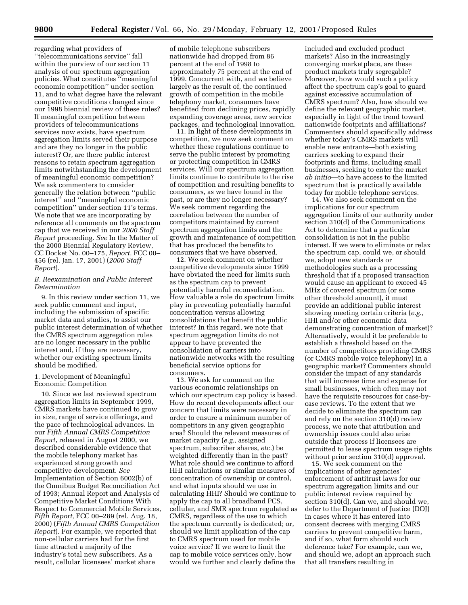regarding what providers of ''telecommunications service'' fall within the purview of our section 11 analysis of our spectrum aggregation policies. What constitutes ''meaningful economic competition'' under section 11, and to what degree have the relevant competitive conditions changed since our 1998 biennial review of these rules? If meaningful competition between providers of telecommunications services now exists, have spectrum aggregation limits served their purpose and are they no longer in the public interest? Or, are there public interest reasons to retain spectrum aggregation limits notwithstanding the development of meaningful economic competition? We ask commenters to consider generally the relation between ''public interest'' and ''meaningful economic competition'' under section 11's terms. We note that we are incorporating by reference all comments on the spectrum cap that we received in our *2000 Staff Report* proceeding. *See* In the Matter of the 2000 Biennial Regulatory Review, CC Docket No. 00–175, *Report,* FCC 00– 456 (rel. Jan. 17, 2001) (*2000 Staff Report*).

### *B. Reexamination and Public Interest Determination*

9. In this review under section 11, we seek public comment and input, including the submission of specific market data and studies, to assist our public interest determination of whether the CMRS spectrum aggregation rules are no longer necessary in the public interest and, if they are necessary, whether our existing spectrum limits should be modified.

### 1. Development of Meaningful Economic Competition

10. Since we last reviewed spectrum aggregation limits in September 1999, CMRS markets have continued to grow in size, range of service offerings, and the pace of technological advances. In our *Fifth Annual CMRS Competition Report*, released in August 2000, we described considerable evidence that the mobile telephony market has experienced strong growth and competitive development. *See* Implementation of Section 6002(b) of the Omnibus Budget Reconciliation Act of 1993; Annual Report and Analysis of Competitive Market Conditions With Respect to Commercial Mobile Services, *Fifth Report,* FCC 00–289 (rel. Aug. 18, 2000) (*Fifth Annual CMRS Competition Report*). For example, we reported that non-cellular carriers had for the first time attracted a majority of the industry's total new subscribers. As a result, cellular licensees' market share

of mobile telephone subscribers nationwide had dropped from 86 percent at the end of 1998 to approximately 75 percent at the end of 1999. Concurrent with, and we believe largely as the result of, the continued growth of competition in the mobile telephony market, consumers have benefited from declining prices, rapidly expanding coverage areas, new service packages, and technological innovation.

11. In light of these developments in competition, we now seek comment on whether these regulations continue to serve the public interest by promoting or protecting competition in CMRS services. Will our spectrum aggregation limits continue to contribute to the rise of competition and resulting benefits to consumers, as we have found in the past, or are they no longer necessary? We seek comment regarding the correlation between the number of competitors maintained by current spectrum aggregation limits and the growth and maintenance of competition that has produced the benefits to consumers that we have observed.

12. We seek comment on whether competitive developments since 1999 have obviated the need for limits such as the spectrum cap to prevent potentially harmful reconsolidation. How valuable a role do spectrum limits play in preventing potentially harmful concentration versus allowing consolidations that benefit the public interest? In this regard, we note that spectrum aggregation limits do not appear to have prevented the consolidation of carriers into nationwide networks with the resulting beneficial service options for consumers.

13. We ask for comment on the various economic relationships on which our spectrum cap policy is based. How do recent developments affect our concern that limits were necessary in order to ensure a minimum number of competitors in any given geographic area? Should the relevant measures of market capacity (*e.g.,* assigned spectrum, subscriber shares, *etc.*) be weighted differently than in the past? What role should we continue to afford HHI calculations or similar measures of concentration of ownership or control, and what inputs should we use in calculating HHI? Should we continue to apply the cap to all broadband PCS, cellular, and SMR spectrum regulated as CMRS, regardless of the use to which the spectrum currently is dedicated; or, should we limit application of the cap to CMRS spectrum used for mobile voice service? If we were to limit the cap to mobile voice services only, how would we further and clearly define the

included and excluded product markets? Also in the increasingly converging marketplace, are these product markets truly segregable? Moreover, how would such a policy affect the spectrum cap's goal to guard against excessive accumulation of CMRS spectrum? Also, how should we define the relevant geographic market, especially in light of the trend toward nationwide footprints and affiliations? Commenters should specifically address whether today's CMRS markets will enable new entrants—both existing carriers seeking to expand their footprints and firms, including small businesses, seeking to enter the market *ab initio*—to have access to the limited spectrum that is practically available today for mobile telephone services.

14. We also seek comment on the implications for our spectrum aggregation limits of our authority under section 310(d) of the Communications Act to determine that a particular consolidation is not in the public interest. If we were to eliminate or relax the spectrum cap, could we, or should we, adopt new standards or methodologies such as a processing threshold that if a proposed transaction would cause an applicant to exceed 45 MHz of covered spectrum (or some other threshold amount), it must provide an additional public interest showing meeting certain criteria (*e.g.,* HHI and/or other economic data demonstrating concentration of market)? Alternatively, would it be preferable to establish a threshold based on the number of competitors providing CMRS (or CMRS mobile voice telephony) in a geographic market? Commenters should consider the impact of any standards that will increase time and expense for small businesses, which often may not have the requisite resources for case-bycase reviews. To the extent that we decide to eliminate the spectrum cap and rely on the section 310(d) review process, we note that attribution and ownership issues could also arise outside that process if licensees are permitted to lease spectrum usage rights without prior section 310(d) approval.

15. We seek comment on the implications of other agencies' enforcement of antitrust laws for our spectrum aggregation limits and our public interest review required by section 310(d). Can we, and should we, defer to the Department of Justice (DOJ) in cases where it has entered into consent decrees with merging CMRS carriers to prevent competitive harm, and if so, what form should such deference take? For example, can we, and should we, adopt an approach such that all transfers resulting in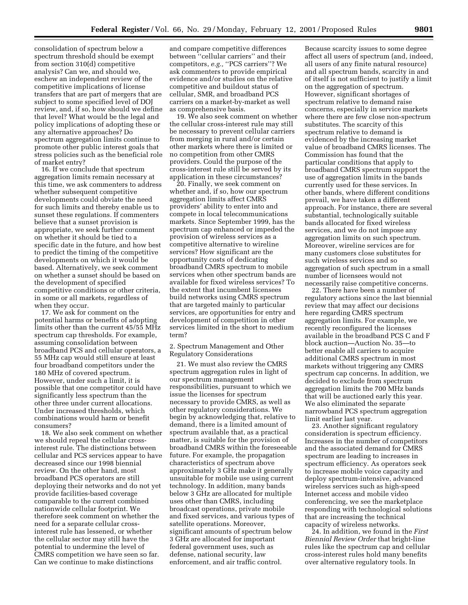consolidation of spectrum below a spectrum threshold should be exempt from section 310(d) competitive analysis? Can we, and should we, eschew an independent review of the competitive implications of license transfers that are part of mergers that are subject to some specified level of DOJ review, and, if so, how should we define that level? What would be the legal and policy implications of adopting these or any alternative approaches? Do spectrum aggregation limits continue to promote other public interest goals that stress policies such as the beneficial role of market entry?

16. If we conclude that spectrum aggregation limits remain necessary at this time, we ask commenters to address whether subsequent competitive developments could obviate the need for such limits and thereby enable us to sunset these regulations. If commenters believe that a sunset provision is appropriate, we seek further comment on whether it should be tied to a specific date in the future, and how best to predict the timing of the competitive developments on which it would be based. Alternatively, we seek comment on whether a sunset should be based on the development of specified competitive conditions or other criteria, in some or all markets, regardless of when they occur.

17. We ask for comment on the potential harms or benefits of adopting limits other than the current 45/55 MHz spectrum cap thresholds. For example, assuming consolidation between broadband PCS and cellular operators, a 55 MHz cap would still ensure at least four broadband competitors under the 180 MHz of covered spectrum. However, under such a limit, it is possible that one competitor could have significantly less spectrum than the other three under current allocations. Under increased thresholds, which combinations would harm or benefit consumers?

18. We also seek comment on whether we should repeal the cellular crossinterest rule. The distinctions between cellular and PCS services appear to have decreased since our 1998 biennial review. On the other hand, most broadband PCS operators are still deploying their networks and do not yet provide facilities-based coverage comparable to the current combined nationwide cellular footprint. We therefore seek comment on whether the need for a separate cellular crossinterest rule has lessened, or whether the cellular sector may still have the potential to undermine the level of CMRS competition we have seen so far. Can we continue to make distinctions

and compare competitive differences between ''cellular carriers'' and their competitors, e.g., "PCS carriers"? We ask commenters to provide empirical evidence and/or studies on the relative competitive and buildout status of cellular, SMR, and broadband PCS carriers on a market-by-market as well as comprehensive basis.

19. We also seek comment on whether the cellular cross-interest rule may still be necessary to prevent cellular carriers from merging in rural and/or certain other markets where there is limited or no competition from other CMRS providers. Could the purpose of the cross-interest rule still be served by its application in these circumstances?

20. Finally, we seek comment on whether and, if so, how our spectrum aggregation limits affect CMRS providers' ability to enter into and compete in local telecommunications markets. Since September 1999, has the spectrum cap enhanced or impeded the provision of wireless services as a competitive alternative to wireline services? How significant are the opportunity costs of dedicating broadband CMRS spectrum to mobile services when other spectrum bands are available for fixed wireless services? To the extent that incumbent licensees build networks using CMRS spectrum that are targeted mainly to particular services, are opportunities for entry and development of competition in other services limited in the short to medium term?

2. Spectrum Management and Other Regulatory Considerations

21. We must also review the CMRS spectrum aggregation rules in light of our spectrum management responsibilities, pursuant to which we issue the licenses for spectrum necessary to provide CMRS, as well as other regulatory considerations. We begin by acknowledging that, relative to demand, there is a limited amount of spectrum available that, as a practical matter, is suitable for the provision of broadband CMRS within the foreseeable future. For example, the propagation characteristics of spectrum above approximately 3 GHz make it generally unsuitable for mobile use using current technology. In addition, many bands below 3 GHz are allocated for multiple uses other than CMRS, including broadcast operations, private mobile and fixed services, and various types of satellite operations. Moreover, significant amounts of spectrum below 3 GHz are allocated for important federal government uses, such as defense, national security, law enforcement, and air traffic control.

Because scarcity issues to some degree affect all users of spectrum (and, indeed, all users of any finite natural resource) and all spectrum bands, scarcity in and of itself is not sufficient to justify a limit on the aggregation of spectrum. However, significant shortages of spectrum relative to demand raise concerns, especially in service markets where there are few close non-spectrum substitutes. The scarcity of this spectrum relative to demand is evidenced by the increasing market value of broadband CMRS licenses. The Commission has found that the particular conditions that apply to broadband CMRS spectrum support the use of aggregation limits in the bands currently used for these services. In other bands, where different conditions prevail, we have taken a different approach. For instance, there are several substantial, technologically suitable bands allocated for fixed wireless services, and we do not impose any aggregation limits on such spectrum. Moreover, wireline services are for many customers close substitutes for such wireless services and so aggregation of such spectrum in a small number of licensees would not necessarily raise competitive concerns.

22. There have been a number of regulatory actions since the last biennial review that may affect our decisions here regarding CMRS spectrum aggregation limits. For example, we recently reconfigured the licenses available in the broadband PCS C and F block auction—Auction No. 35—to better enable all carriers to acquire additional CMRS spectrum in most markets without triggering any CMRS spectrum cap concerns. In addition, we decided to exclude from spectrum aggregation limits the 700 MHz bands that will be auctioned early this year. We also eliminated the separate narrowband PCS spectrum aggregation limit earlier last year.

23. Another significant regulatory consideration is spectrum efficiency. Increases in the number of competitors and the associated demand for CMRS spectrum are leading to increases in spectrum efficiency. As operators seek to increase mobile voice capacity and deploy spectrum-intensive, advanced wireless services such as high-speed Internet access and mobile video conferencing, we see the marketplace responding with technological solutions that are increasing the technical capacity of wireless networks.

24. In addition, we found in the *First Biennial Review Order* that bright-line rules like the spectrum cap and cellular cross-interest rules hold many benefits over alternative regulatory tools. In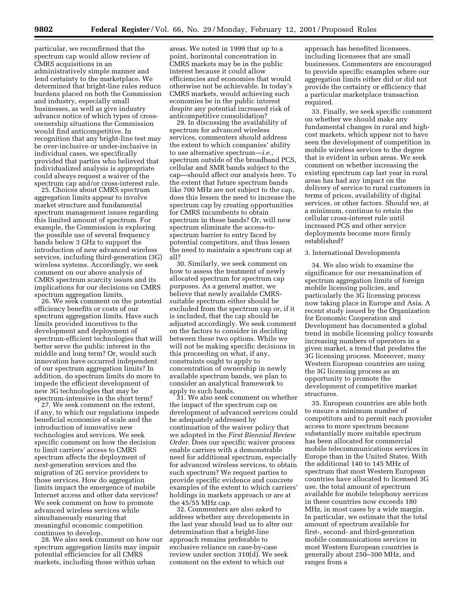particular, we reconfirmed that the spectrum cap would allow review of CMRS acquisitions in an administratively simple manner and lend certainty to the marketplace. We determined that bright-line rules reduce burdens placed on both the Commission and industry, especially small businesses, as well as give industry advance notice of which types of crossownership situations the Commission would find anticompetitive. In recognition that any bright-line test may be over-inclusive or under-inclusive in individual cases, we specifically provided that parties who believed that individualized analysis is appropriate could always request a waiver of the spectrum cap and/or cross-interest rule. 25. Choices about CMRS spectrum

aggregation limits appear to involve market structure and fundamental spectrum management issues regarding this limited amount of spectrum. For example, the Commission is exploring the possible use of several frequency bands below 3 GHz to support the introduction of new advanced wireless services, including third-generation (3G) wireless systems. Accordingly, we seek comment on our above analysis of CMRS spectrum scarcity issues and its implications for our decisions on CMRS spectrum aggregation limits. 26. We seek comment on the potential

efficiency benefits or costs of our spectrum aggregation limits. Have such limits provided incentives to the development and deployment of spectrum-efficient technologies that will better serve the public interest in the middle and long term? Or, would such innovation have occurred independent of our spectrum aggregation limits? In addition, do spectrum limits do more to impede the efficient development of new 3G technologies that may be spectrum-intensive in the short term? 27. We seek comment on the extent,

if any, to which our regulations impede beneficial economies of scale and the introduction of innovative new technologies and services. We seek specific comment on how the decision to limit carriers' access to CMRS spectrum affects the deployment of next-generation services and the migration of 2G service providers to those services. How do aggregation limits impact the emergence of mobile Internet access and other data services? We seek comment on how to promote advanced wireless services while simultaneously ensuring that meaningful economic competition

28. We also seek comment on how our spectrum aggregation limits may impair potential efficiencies for all CMRS markets, including those within urban

areas. We noted in 1999 that up to a point, horizontal concentration in CMRS markets may be in the public interest because it could allow efficiencies and economies that would otherwise not be achievable. In today's CMRS markets, would achieving such economies be in the public interest despite any potential increased risk of anticompetitive consolidation? 29. In discussing the availability of

spectrum for advanced wireless services, commenters should address the extent to which companies' ability to use alternative spectrum—*i.e.,* spectrum outside of the broadband PCS, cellular and SMR bands subject to the cap—should affect our analysis here. To the extent that future spectrum bands like 700 MHz are not subject to the cap, does this lessen the need to increase the spectrum cap by creating opportunities for CMRS incumbents to obtain spectrum in these bands? Or, will new spectrum eliminate the access-tospectrum barrier to entry faced by potential competitors, and thus lessen the need to maintain a spectrum cap at all?

30. Similarly, we seek comment on how to assess the treatment of newly allocated spectrum for spectrum cap purposes. As a general matter, we believe that newly available CMRSsuitable spectrum either should be excluded from the spectrum cap or, if it is included, that the cap should be adjusted accordingly. We seek comment on the factors to consider in deciding between these two options. While we will not be making specific decisions in this proceeding on what, if any, constraints ought to apply to concentration of ownership in newly available spectrum bands, we plan to consider an analytical framework to

31. We also seek comment on whether the impact of the spectrum cap on development of advanced services could be adequately addressed by continuation of the waiver policy that we adopted in the *First Biennial Review Order.* Does our specific waiver process enable carriers with a demonstrable need for additional spectrum, especially for advanced wireless services, to obtain such spectrum? We request parties to provide specific evidence and concrete examples of the extent to which carriers' holdings in markets approach or are at the 45/55 MHz cap. 32. Commenters are also asked to

address whether any developments in the last year should lead us to alter our determination that a bright-line approach remains preferable to exclusive reliance on case-by-case review under section 310(d). We seek comment on the extent to which our

approach has benefited licensees, including licensees that are small businesses. Commenters are encouraged to provide specific examples where our aggregation limits either did or did not provide the certainty or efficiency that a particular marketplace transaction required.

33. Finally, we seek specific comment on whether we should make any fundamental changes in rural and highcost markets, which appear not to have seen the development of competition in mobile wireless services to the degree that is evident in urban areas. We seek comment on whether increasing the existing spectrum cap last year in rural areas has had any impact on the delivery of service to rural customers in terms of prices, availability of digital services, or other factors. Should we, at a minimum, continue to retain the cellular cross-interest rule until increased PCS and other service deployments become more firmly established?

### 3. International Developments

34. We also wish to examine the significance for our reexamination of spectrum aggregation limits of foreign mobile licensing policies, and particularly the 3G licensing process now taking place in Europe and Asia. A recent study issued by the Organization for Economic Cooperation and Development has documented a global trend in mobile licensing policy towards increasing numbers of operators in a given market, a trend that predates the 3G licensing process. Moreover, many Western European countries are using the 3G licensing process as an opportunity to promote the development of competitive market structures.

35. European countries are able both to ensure a minimum number of competitors and to permit each provider access to more spectrum because substantially more suitable spectrum has been allocated for commercial mobile telecommunications services in Europe than in the United States. With the additional 140 to 145 MHz of spectrum that most Western European countries have allocated to licensed 3G use, the total amount of spectrum available for mobile telephony services in these countries now exceeds 180 MHz, in most cases by a wide margin. In particular, we estimate that the total amount of spectrum available for first-, second- and third-generation mobile communications services in most Western European countries is generally about 250–300 MHz, and ranges from a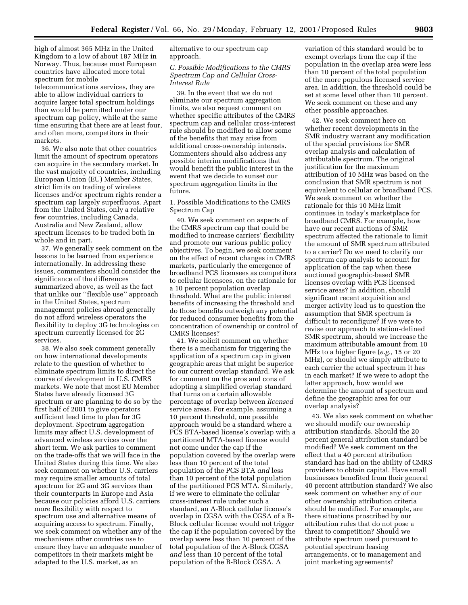high of almost 365 MHz in the United Kingdom to a low of about 187 MHz in Norway. Thus, because most European countries have allocated more total spectrum for mobile telecommunications services, they are able to allow individual carriers to acquire larger total spectrum holdings than would be permitted under our spectrum cap policy, while at the same time ensuring that there are at least four, and often more, competitors in their markets.

36. We also note that other countries limit the amount of spectrum operators can acquire in the secondary market. In the vast majority of countries, including European Union (EU) Member States, strict limits on trading of wireless licenses and/or spectrum rights render a spectrum cap largely superfluous. Apart from the United States, only a relative few countries, including Canada, Australia and New Zealand, allow spectrum licenses to be traded both in whole and in part.

37. We generally seek comment on the lessons to be learned from experience internationally. In addressing these issues, commenters should consider the significance of the differences summarized above, as well as the fact that unlike our ''flexible use'' approach in the United States, spectrum management policies abroad generally do not afford wireless operators the flexibility to deploy 3G technologies on spectrum currently licensed for 2G services.

38. We also seek comment generally on how international developments relate to the question of whether to eliminate spectrum limits to direct the course of development in U.S. CMRS markets. We note that most EU Member States have already licensed 3G spectrum or are planning to do so by the first half of 2001 to give operators sufficient lead time to plan for 3G deployment. Spectrum aggregation limits may affect U.S. development of advanced wireless services over the short term. We ask parties to comment on the trade-offs that we will face in the United States during this time. We also seek comment on whether U.S. carriers may require smaller amounts of total spectrum for 2G and 3G services than their counterparts in Europe and Asia because our policies afford U.S. carriers more flexibility with respect to spectrum use and alternative means of acquiring access to spectrum. Finally, we seek comment on whether any of the mechanisms other countries use to ensure they have an adequate number of competitors in their markets might be adapted to the U.S. market, as an

alternative to our spectrum cap approach.

## *C. Possible Modifications to the CMRS Spectrum Cap and Cellular Cross-Interest Rule*

39. In the event that we do not eliminate our spectrum aggregation limits, we also request comment on whether specific attributes of the CMRS spectrum cap and cellular cross-interest rule should be modified to allow some of the benefits that may arise from additional cross-ownership interests. Commenters should also address any possible interim modifications that would benefit the public interest in the event that we decide to sunset our spectrum aggregation limits in the future.

1. Possible Modifications to the CMRS Spectrum Cap

40. We seek comment on aspects of the CMRS spectrum cap that could be modified to increase carriers' flexibility and promote our various public policy objectives. To begin, we seek comment on the effect of recent changes in CMRS markets, particularly the emergence of broadband PCS licensees as competitors to cellular licensees, on the rationale for a 10 percent population overlap threshold. What are the public interest benefits of increasing the threshold and do those benefits outweigh any potential for reduced consumer benefits from the concentration of ownership or control of CMRS licenses?

41. We solicit comment on whether there is a mechanism for triggering the application of a spectrum cap in given geographic areas that might be superior to our current overlap standard. We ask for comment on the pros and cons of adopting a simplified overlap standard that turns on a certain allowable percentage of overlap between *licensed* service areas. For example, assuming a 10 percent threshold, one possible approach would be a standard where a PCS BTA-based license's overlap with a partitioned MTA-based license would not come under the cap if the population covered by the overlap were less than 10 percent of the total population of the PCS BTA *and* less than 10 percent of the total population of the partitioned PCS MTA. Similarly, if we were to eliminate the cellular cross-interest rule under such a standard, an A-Block cellular license's overlap in CGSA with the CGSA of a B-Block cellular license would not trigger the cap if the population covered by the overlap were less than 10 percent of the total population of the A-Block CGSA *and* less than 10 percent of the total population of the B-Block CGSA. A

variation of this standard would be to exempt overlaps from the cap if the population in the overlap area were less than 10 percent of the total population of the more populous licensed service area. In addition, the threshold could be set at some level other than 10 percent. We seek comment on these and any other possible approaches.

42. We seek comment here on whether recent developments in the SMR industry warrant any modification of the special provisions for SMR overlap analysis and calculation of attributable spectrum. The original justification for the maximum attribution of 10 MHz was based on the conclusion that SMR spectrum is not equivalent to cellular or broadband PCS. We seek comment on whether the rationale for this 10 MHz limit continues in today's marketplace for broadband CMRS. For example, how have our recent auctions of SMR spectrum affected the rationale to limit the amount of SMR spectrum attributed to a carrier? Do we need to clarify our spectrum cap analysis to account for application of the cap when these auctioned geographic-based SMR licenses overlap with PCS licensed service areas? In addition, should significant recent acquisition and merger activity lead us to question the assumption that SMR spectrum is difficult to reconfigure? If we were to revise our approach to station-defined SMR spectrum, should we increase the maximum attributable amount from 10 MHz to a higher figure (*e.g.,* 15 or 20 MHz), or should we simply attribute to each carrier the actual spectrum it has in each market? If we were to adopt the latter approach, how would we determine the amount of spectrum and define the geographic area for our overlap analysis?

43. We also seek comment on whether we should modify our ownership attribution standards. Should the 20 percent general attribution standard be modified? We seek comment on the effect that a 40 percent attribution standard has had on the ability of CMRS providers to obtain capital. Have small businesses benefited from their general 40 percent attribution standard? We also seek comment on whether any of our other ownership attribution criteria should be modified. For example, are there situations proscribed by our attribution rules that do not pose a threat to competition? Should we attribute spectrum used pursuant to potential spectrum leasing arrangements, or to management and joint marketing agreements?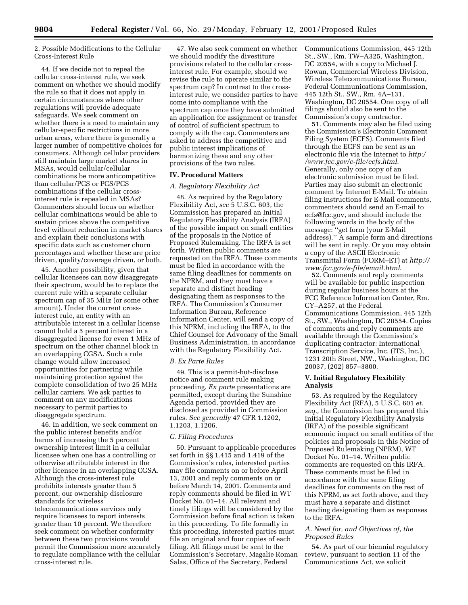2. Possible Modifications to the Cellular Cross-Interest Rule

44. If we decide not to repeal the cellular cross-interest rule, we seek comment on whether we should modify the rule so that it does not apply in certain circumstances where other regulations will provide adequate safeguards. We seek comment on whether there is a need to maintain any cellular-specific restrictions in more urban areas, where there is generally a larger number of competitive choices for consumers. Although cellular providers still maintain large market shares in MSAs, would cellular/cellular combinations be more anticompetitive than cellular/PCS or PCS/PCS combinations if the cellular crossinterest rule is repealed in MSAs? Commenters should focus on whether cellular combinations would be able to sustain prices above the competitive level without reduction in market shares and explain their conclusions with specific data such as customer churn percentages and whether these are price driven, quality/coverage driven, or both.

45. Another possibility, given that cellular licensees can now disaggregate their spectrum, would be to replace the current rule with a separate cellular spectrum cap of 35 MHz (or some other amount). Under the current crossinterest rule, an entity with an attributable interest in a cellular license cannot hold a 5 percent interest in a disaggregated license for even 1 MHz of spectrum on the other channel block in an overlapping CGSA. Such a rule change would allow increased opportunities for partnering while maintaining protection against the complete consolidation of two 25 MHz cellular carriers. We ask parties to comment on any modifications necessary to permit parties to disaggregate spectrum.

46. In addition, we seek comment on the public interest benefits and/or harms of increasing the 5 percent ownership interest limit in a cellular licensee when one has a controlling or otherwise attributable interest in the other licensee in an overlapping CGSA. Although the cross-interest rule prohibits interests greater than 5 percent, our ownership disclosure standards for wireless telecommunications services only require licensees to report interests greater than 10 percent. We therefore seek comment on whether conformity between these two provisions would permit the Commission more accurately to regulate compliance with the cellular cross-interest rule.

47. We also seek comment on whether we should modify the divestiture provisions related to the cellular crossinterest rule. For example, should we revise the rule to operate similar to the spectrum cap? In contrast to the crossinterest rule, we consider parties to have come into compliance with the spectrum cap once they have submitted an application for assignment or transfer of control of sufficient spectrum to comply with the cap. Commenters are asked to address the competitive and public interest implications of harmonizing these and any other provisions of the two rules.

#### **IV. Procedural Matters**

#### *A. Regulatory Flexibility Act*

48. As required by the Regulatory Flexibility Act, *see* 5 U.S.C. 603, the Commission has prepared an Initial Regulatory Flexibility Analysis (IRFA) of the possible impact on small entities of the proposals in the Notice of Proposed Rulemaking. The IRFA is set forth. Written public comments are requested on the IRFA. These comments must be filed in accordance with the same filing deadlines for comments on the NPRM, and they must have a separate and distinct heading designating them as responses to the IRFA. The Commission's Consumer Information Bureau, Reference Information Center, will send a copy of this NPRM, including the IRFA, to the Chief Counsel for Advocacy of the Small Business Administration, in accordance with the Regulatory Flexibility Act.

## *B. Ex Parte Rules*

49. This is a permit-but-disclose notice and comment rule making proceeding. *Ex parte* presentations are permitted, except during the Sunshine Agenda period, provided they are disclosed as provided in Commission rules. *See generally* 47 CFR 1.1202, 1.1203, 1.1206.

#### *C. Filing Procedures*

50. Pursuant to applicable procedures set forth in §§ 1.415 and 1.419 of the Commission's rules, interested parties may file comments on or before April 13, 2001 and reply comments on or before March 14, 2001. Comments and reply comments should be filed in WT Docket No. 01–14. All relevant and timely filings will be considered by the Commission before final action is taken in this proceeding. To file formally in this proceeding, interested parties must file an original and four copies of each filing. All filings must be sent to the Commission's Secretary, Magalie Roman Salas, Office of the Secretary, Federal

Communications Commission, 445 12th St., SW., Rm. TW–A325, Washington, DC 20554, with a copy to Michael J. Rowan, Commercial Wireless Division, Wireless Telecommunications Bureau, Federal Communications Commission, 445 12th St., SW., Rm. 4A–131, Washington, DC 20554. One copy of all filings should also be sent to the Commission's copy contractor.

51. Comments may also be filed using the Commission's Electronic Comment Filing System (ECFS). Comments filed through the ECFS can be sent as an electronic file via the Internet to *http:/ /www.fcc.gov/e-file/ecfs.html.* Generally, only one copy of an electronic submission must be filed. Parties may also submit an electronic comment by Internet E-Mail. To obtain filing instructions for E-Mail comments, commenters should send an E-mail to ecfs@fcc.gov, and should include the following words in the body of the message: ''get form (your E-Mail address).'' A sample form and directions will be sent in reply. Or you may obtain a copy of the ASCII Electronic Transmittal Form (FORM–ET) at *http:// www.fcc.gov/e-file/email.html*.

52. Comments and reply comments will be available for public inspection during regular business hours at the FCC Reference Information Center, Rm. CY–A257, at the Federal Communications Commission, 445 12th St., SW., Washington, DC 20554. Copies of comments and reply comments are available through the Commission's duplicating contractor: International Transcription Service, Inc. (ITS, Inc.), 1231 20th Street, NW., Washington, DC 20037, (202) 857–3800.

### **V. Initial Regulatory Flexibility Analysis**

53. As required by the Regulatory Flexibility Act (RFA), 5 U.S.C. 601 *et. seq.,* the Commission has prepared this Initial Regulatory Flexibility Analysis (IRFA) of the possible significant economic impact on small entities of the policies and proposals in this Notice of Proposed Rulemaking (NPRM), WT Docket No. 01–14. Written public comments are requested on this IRFA. These comments must be filed in accordance with the same filing deadlines for comments on the rest of this NPRM, as set forth above, and they must have a separate and distinct heading designating them as responses to the IRFA.

## *A. Need for, and Objectives of, the Proposed Rules*

54. As part of our biennial regulatory review, pursuant to section 11 of the Communications Act, we solicit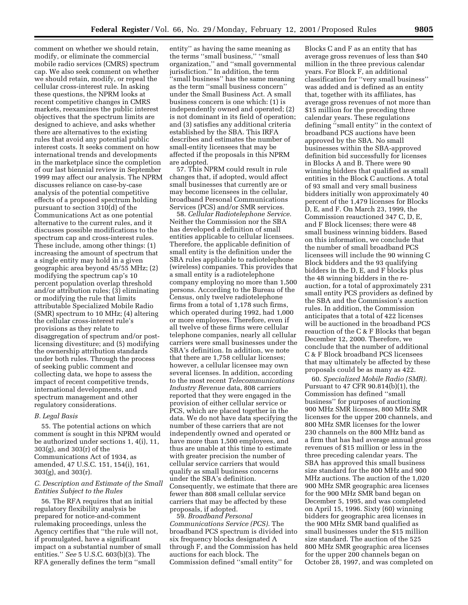comment on whether we should retain, modify, or eliminate the commercial mobile radio services (CMRS) spectrum cap. We also seek comment on whether we should retain, modify, or repeal the cellular cross-interest rule. In asking these questions, the NPRM looks at recent competitive changes in CMRS markets, reexamines the public interest objectives that the spectrum limits are designed to achieve, and asks whether there are alternatives to the existing rules that avoid any potential public interest costs. It seeks comment on how international trends and developments in the marketplace since the completion of our last biennial review in September 1999 may affect our analysis. The NPRM discusses reliance on case-by-case analysis of the potential competitive effects of a proposed spectrum holding pursuant to section 310(d) of the Communications Act as one potential alternative to the current rules, and it discusses possible modifications to the spectrum cap and cross-interest rules. These include, among other things: (1) increasing the amount of spectrum that a single entity may hold in a given geographic area beyond 45/55 MHz; (2) modifying the spectrum cap's 10 percent population overlap threshold and/or attribution rules; (3) eliminating or modifying the rule that limits attributable Specialized Mobile Radio (SMR) spectrum to 10 MHz; (4) altering the cellular cross-interest rule's provisions as they relate to disaggregation of spectrum and/or postlicensing divestiture; and (5) modifying the ownership attribution standards under both rules. Through the process of seeking public comment and collecting data, we hope to assess the impact of recent competitive trends, international developments, and spectrum management and other regulatory considerations.

# *B. Legal Basis*

55. The potential actions on which comment is sought in this NPRM would be authorized under sections 1, 4(i), 11, 303(g), and 303(r) of the Communications Act of 1934, as amended, 47 U.S.C. 151, 154(i), 161, 303(g), and 303(r).

## *C. Description and Estimate of the Small Entities Subject to the Rules*

56. The RFA requires that an initial regulatory flexibility analysis be prepared for notice-and-comment rulemaking proceedings, unless the Agency certifies that ''the rule will not, if promulgated, have a significant impact on a substantial number of small entities.'' *See* 5 U.S.C. 603(b)(3). The RFA generally defines the term ''small

entity'' as having the same meaning as the terms ''small business,'' ''small organization,'' and ''small governmental jurisdiction.'' In addition, the term 'small business'' has the same meaning as the term ''small business concern'' under the Small Business Act. A small business concern is one which: (1) is independently owned and operated; (2) is not dominant in its field of operation; and (3) satisfies any additional criteria established by the SBA. This IRFA describes and estimates the number of small-entity licensees that may be affected if the proposals in this NPRM are adopted.

57. This NPRM could result in rule changes that, if adopted, would affect small businesses that currently are or may become licensees in the cellular, broadband Personal Communications Services (PCS) and/or SMR services.

58. *Cellular Radiotelephone Service.* Neither the Commission nor the SBA has developed a definition of small entities applicable to cellular licensees. Therefore, the applicable definition of small entity is the definition under the SBA rules applicable to radiotelephone (wireless) companies. This provides that a small entity is a radiotelephone company employing no more than 1,500 persons. According to the Bureau of the Census, only twelve radiotelephone firms from a total of 1,178 such firms, which operated during 1992, had 1,000 or more employees. Therefore, even if all twelve of these firms were cellular telephone companies, nearly all cellular carriers were small businesses under the SBA's definition. In addition, we note that there are 1,758 cellular licenses; however, a cellular licensee may own several licenses. In addition, according to the most recent *Telecommunications Industry Revenue* data, 808 carriers reported that they were engaged in the provision of either cellular service or PCS, which are placed together in the data. We do not have data specifying the number of these carriers that are not independently owned and operated or have more than 1,500 employees, and thus are unable at this time to estimate with greater precision the number of cellular service carriers that would qualify as small business concerns under the SBA's definition. Consequently, we estimate that there are fewer than 808 small cellular service carriers that may be affected by these proposals, if adopted.

59. *Broadband Personal Communications Service (PCS).* The broadband PCS spectrum is divided into six frequency blocks designated A through F, and the Commission has held auctions for each block. The Commission defined ''small entity'' for

Blocks C and F as an entity that has average gross revenues of less than \$40 million in the three previous calendar years. For Block F, an additional classification for ''very small business'' was added and is defined as an entity that, together with its affiliates, has average gross revenues of not more than \$15 million for the preceding three calendar years. These regulations defining ''small entity'' in the context of broadband PCS auctions have been approved by the SBA. No small businesses within the SBA-approved definition bid successfully for licenses in Blocks A and B. There were 90 winning bidders that qualified as small entities in the Block C auctions. A total of 93 small and very small business bidders initially won approximately 40 percent of the 1,479 licenses for Blocks D, E, and F. On March 23, 1999, the Commission reauctioned 347 C, D, E, and F Block licenses; there were 48 small business winning bidders. Based on this information, we conclude that the number of small broadband PCS licensees will include the 90 winning C Block bidders and the 93 qualifying bidders in the D, E, and F blocks plus the 48 winning bidders in the reauction, for a total of approximately 231 small entity PCS providers as defined by the SBA and the Commission's auction rules. In addition, the Commission anticipates that a total of 422 licenses will be auctioned in the broadband PCS reauction of the C & F Blocks that began December 12, 2000. Therefore, we conclude that the number of additional C & F Block broadband PCS licensees that may ultimately be affected by these proposals could be as many as 422.

60. *Specialized Mobile Radio (SMR).* Pursuant to 47 CFR 90.814(b)(1), the Commission has defined ''small business'' for purposes of auctioning 900 MHz SMR licenses, 800 MHz SMR licenses for the upper 200 channels, and 800 MHz SMR licenses for the lower 230 channels on the 800 MHz band as a firm that has had average annual gross revenues of \$15 million or less in the three preceding calendar years. The SBA has approved this small business size standard for the 800 MHz and 900 MHz auctions. The auction of the 1,020 900 MHz SMR geographic area licenses for the 900 MHz SMR band began on December 5, 1995, and was completed on April 15, 1996. Sixty (60) winning bidders for geographic area licenses in the 900 MHz SMR band qualified as small businesses under the \$15 million size standard. The auction of the 525 800 MHz SMR geographic area licenses for the upper 200 channels began on October 28, 1997, and was completed on